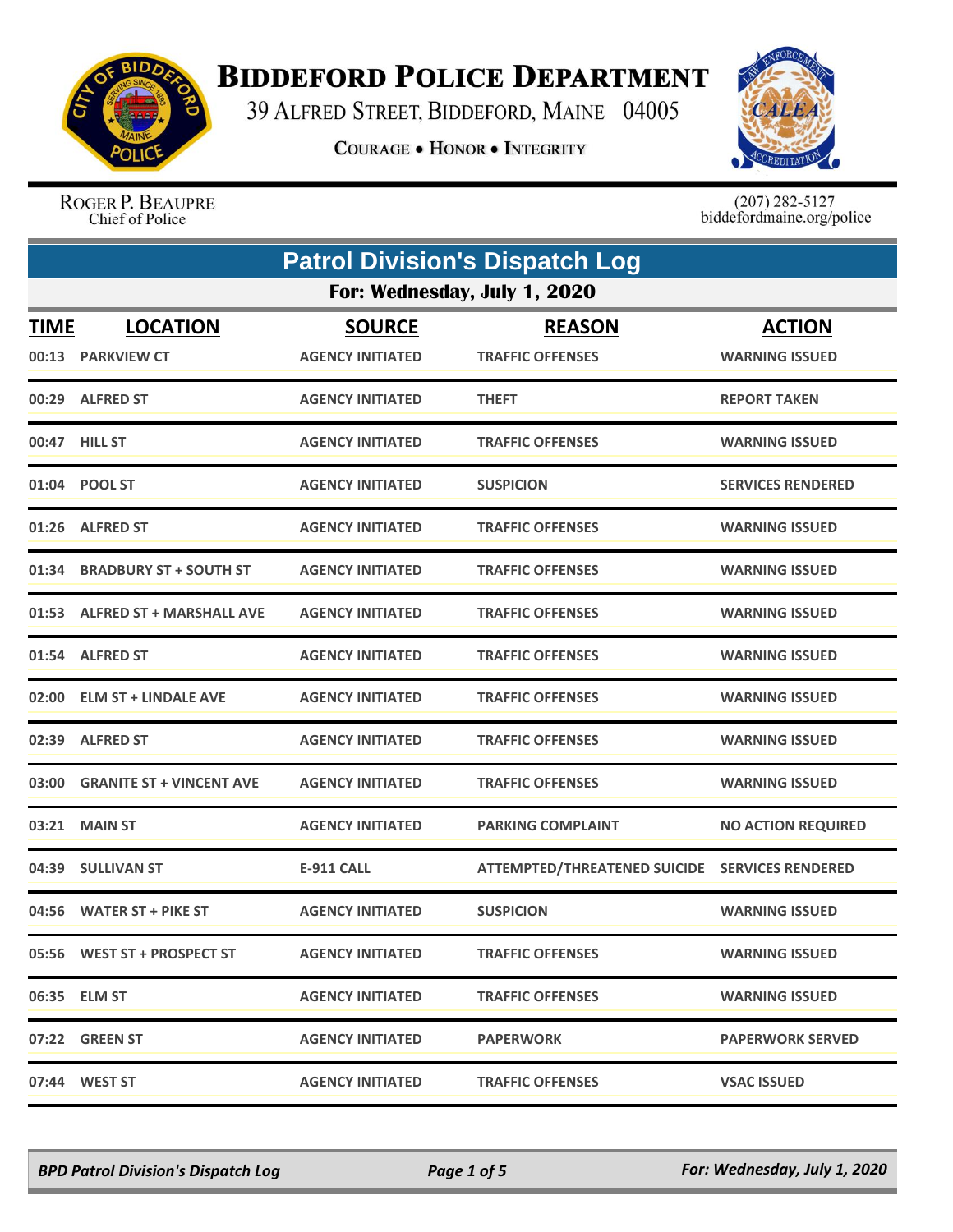

## **BIDDEFORD POLICE DEPARTMENT**

39 ALFRED STREET, BIDDEFORD, MAINE 04005

**COURAGE . HONOR . INTEGRITY** 



ROGER P. BEAUPRE Chief of Police

 $(207)$  282-5127<br>biddefordmaine.org/police

|             | <b>Patrol Division's Dispatch Log</b> |                         |                                                |                           |  |
|-------------|---------------------------------------|-------------------------|------------------------------------------------|---------------------------|--|
|             | For: Wednesday, July 1, 2020          |                         |                                                |                           |  |
| <b>TIME</b> | <b>LOCATION</b>                       | <b>SOURCE</b>           | <b>REASON</b>                                  | <b>ACTION</b>             |  |
|             | 00:13 PARKVIEW CT                     | <b>AGENCY INITIATED</b> | <b>TRAFFIC OFFENSES</b>                        | <b>WARNING ISSUED</b>     |  |
|             | 00:29 ALFRED ST                       | <b>AGENCY INITIATED</b> | <b>THEFT</b>                                   | <b>REPORT TAKEN</b>       |  |
|             | 00:47 HILL ST                         | <b>AGENCY INITIATED</b> | <b>TRAFFIC OFFENSES</b>                        | <b>WARNING ISSUED</b>     |  |
|             | 01:04 POOL ST                         | <b>AGENCY INITIATED</b> | <b>SUSPICION</b>                               | <b>SERVICES RENDERED</b>  |  |
|             | 01:26 ALFRED ST                       | <b>AGENCY INITIATED</b> | <b>TRAFFIC OFFENSES</b>                        | <b>WARNING ISSUED</b>     |  |
| 01:34       | <b>BRADBURY ST + SOUTH ST</b>         | <b>AGENCY INITIATED</b> | <b>TRAFFIC OFFENSES</b>                        | <b>WARNING ISSUED</b>     |  |
|             | 01:53 ALFRED ST + MARSHALL AVE        | <b>AGENCY INITIATED</b> | <b>TRAFFIC OFFENSES</b>                        | <b>WARNING ISSUED</b>     |  |
| 01:54       | <b>ALFRED ST</b>                      | <b>AGENCY INITIATED</b> | <b>TRAFFIC OFFENSES</b>                        | <b>WARNING ISSUED</b>     |  |
|             | 02:00 ELM ST + LINDALE AVE            | <b>AGENCY INITIATED</b> | <b>TRAFFIC OFFENSES</b>                        | <b>WARNING ISSUED</b>     |  |
| 02:39       | <b>ALFRED ST</b>                      | <b>AGENCY INITIATED</b> | <b>TRAFFIC OFFENSES</b>                        | <b>WARNING ISSUED</b>     |  |
| 03:00       | <b>GRANITE ST + VINCENT AVE</b>       | <b>AGENCY INITIATED</b> | <b>TRAFFIC OFFENSES</b>                        | <b>WARNING ISSUED</b>     |  |
| 03:21       | <b>MAIN ST</b>                        | <b>AGENCY INITIATED</b> | <b>PARKING COMPLAINT</b>                       | <b>NO ACTION REQUIRED</b> |  |
| 04:39       | <b>SULLIVAN ST</b>                    | <b>E-911 CALL</b>       | ATTEMPTED/THREATENED SUICIDE SERVICES RENDERED |                           |  |
|             | 04:56 WATER ST + PIKE ST              | <b>AGENCY INITIATED</b> | <b>SUSPICION</b>                               | <b>WARNING ISSUED</b>     |  |
|             | 05:56 WEST ST + PROSPECT ST           | <b>AGENCY INITIATED</b> | <b>TRAFFIC OFFENSES</b>                        | <b>WARNING ISSUED</b>     |  |
|             | 06:35 ELM ST                          | <b>AGENCY INITIATED</b> | <b>TRAFFIC OFFENSES</b>                        | <b>WARNING ISSUED</b>     |  |
|             | 07:22 GREEN ST                        | <b>AGENCY INITIATED</b> | <b>PAPERWORK</b>                               | <b>PAPERWORK SERVED</b>   |  |
|             | 07:44 WEST ST                         | <b>AGENCY INITIATED</b> | <b>TRAFFIC OFFENSES</b>                        | <b>VSAC ISSUED</b>        |  |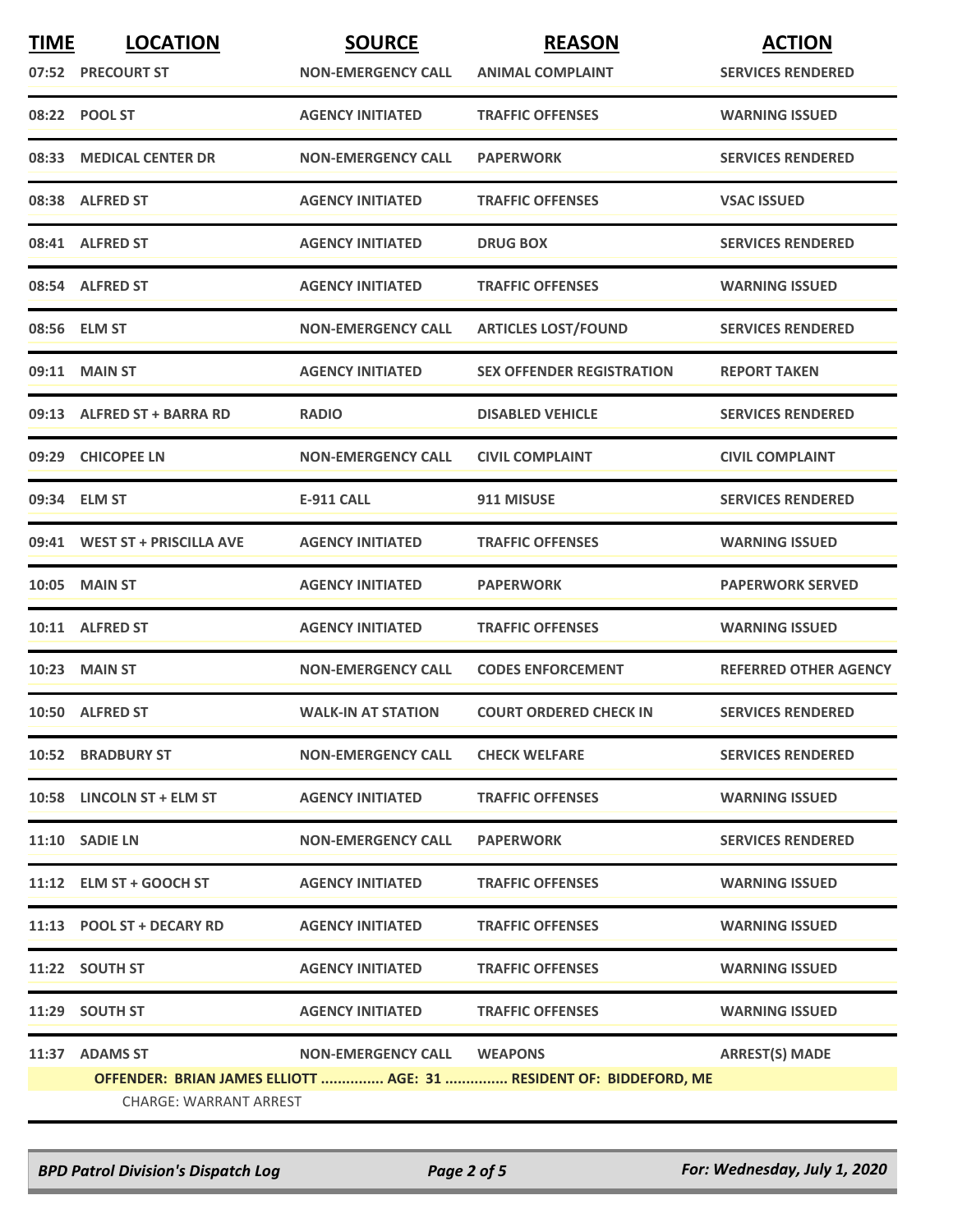| <b>TIME</b> | <b>LOCATION</b>               | <b>SOURCE</b>                     | <b>REASON</b>                                                      | <b>ACTION</b>                |
|-------------|-------------------------------|-----------------------------------|--------------------------------------------------------------------|------------------------------|
|             | 07:52 PRECOURT ST             | <b>NON-EMERGENCY CALL</b>         | <b>ANIMAL COMPLAINT</b>                                            | <b>SERVICES RENDERED</b>     |
|             | 08:22 POOL ST                 | <b>AGENCY INITIATED</b>           | <b>TRAFFIC OFFENSES</b>                                            | <b>WARNING ISSUED</b>        |
| 08:33       | <b>MEDICAL CENTER DR</b>      | <b>NON-EMERGENCY CALL</b>         | <b>PAPERWORK</b>                                                   | <b>SERVICES RENDERED</b>     |
|             | 08:38 ALFRED ST               | <b>AGENCY INITIATED</b>           | <b>TRAFFIC OFFENSES</b>                                            | <b>VSAC ISSUED</b>           |
|             | 08:41 ALFRED ST               | <b>AGENCY INITIATED</b>           | <b>DRUG BOX</b>                                                    | <b>SERVICES RENDERED</b>     |
|             | 08:54 ALFRED ST               | <b>AGENCY INITIATED</b>           | <b>TRAFFIC OFFENSES</b>                                            | <b>WARNING ISSUED</b>        |
|             | 08:56 ELM ST                  | <b>NON-EMERGENCY CALL</b>         | <b>ARTICLES LOST/FOUND</b>                                         | <b>SERVICES RENDERED</b>     |
|             | 09:11 MAIN ST                 | <b>AGENCY INITIATED</b>           | <b>SEX OFFENDER REGISTRATION</b>                                   | <b>REPORT TAKEN</b>          |
|             | 09:13 ALFRED ST + BARRA RD    | <b>RADIO</b>                      | <b>DISABLED VEHICLE</b>                                            | <b>SERVICES RENDERED</b>     |
|             | 09:29 CHICOPEE LN             | <b>NON-EMERGENCY CALL</b>         | <b>CIVIL COMPLAINT</b>                                             | <b>CIVIL COMPLAINT</b>       |
|             | 09:34 ELM ST                  | E-911 CALL                        | 911 MISUSE                                                         | <b>SERVICES RENDERED</b>     |
|             | 09:41 WEST ST + PRISCILLA AVE | <b>AGENCY INITIATED</b>           | <b>TRAFFIC OFFENSES</b>                                            | <b>WARNING ISSUED</b>        |
|             | <b>10:05 MAIN ST</b>          | <b>AGENCY INITIATED</b>           | <b>PAPERWORK</b>                                                   | <b>PAPERWORK SERVED</b>      |
|             | 10:11 ALFRED ST               | <b>AGENCY INITIATED</b>           | <b>TRAFFIC OFFENSES</b>                                            | <b>WARNING ISSUED</b>        |
|             | <b>10:23 MAIN ST</b>          | <b>NON-EMERGENCY CALL</b>         | <b>CODES ENFORCEMENT</b>                                           | <b>REFERRED OTHER AGENCY</b> |
|             | 10:50 ALFRED ST               | <b>WALK-IN AT STATION</b>         | <b>COURT ORDERED CHECK IN</b>                                      | <b>SERVICES RENDERED</b>     |
|             | <b>10:52 BRADBURY ST</b>      | <b>NON-EMERGENCY CALL</b>         | <b>CHECK WELFARE</b>                                               | <b>SERVICES RENDERED</b>     |
|             | 10:58 LINCOLN ST + ELM ST     | <b>AGENCY INITIATED</b>           | <b>TRAFFIC OFFENSES</b>                                            | <b>WARNING ISSUED</b>        |
|             | 11:10 SADIE LN                | <b>NON-EMERGENCY CALL</b>         | <b>PAPERWORK</b>                                                   | <b>SERVICES RENDERED</b>     |
|             | 11:12 ELM ST + GOOCH ST       | <b>AGENCY INITIATED</b>           | <b>TRAFFIC OFFENSES</b>                                            | <b>WARNING ISSUED</b>        |
|             | 11:13 POOL ST + DECARY RD     | <b>AGENCY INITIATED</b>           | <b>TRAFFIC OFFENSES</b>                                            | <b>WARNING ISSUED</b>        |
|             | 11:22 SOUTH ST                | <b>AGENCY INITIATED</b>           | <b>TRAFFIC OFFENSES</b>                                            | <b>WARNING ISSUED</b>        |
|             | 11:29 SOUTH ST                | <b>AGENCY INITIATED</b>           | <b>TRAFFIC OFFENSES</b>                                            | <b>WARNING ISSUED</b>        |
|             | 11:37 ADAMS ST                | <b>NON-EMERGENCY CALL WEAPONS</b> |                                                                    | <b>ARREST(S) MADE</b>        |
|             |                               |                                   | OFFENDER: BRIAN JAMES ELLIOTT  AGE: 31  RESIDENT OF: BIDDEFORD, ME |                              |
|             | CHARGE: WARRANT ARREST        |                                   |                                                                    |                              |

*BPD Patrol Division's Dispatch Log Page 2 of 5 For: Wednesday, July 1, 2020*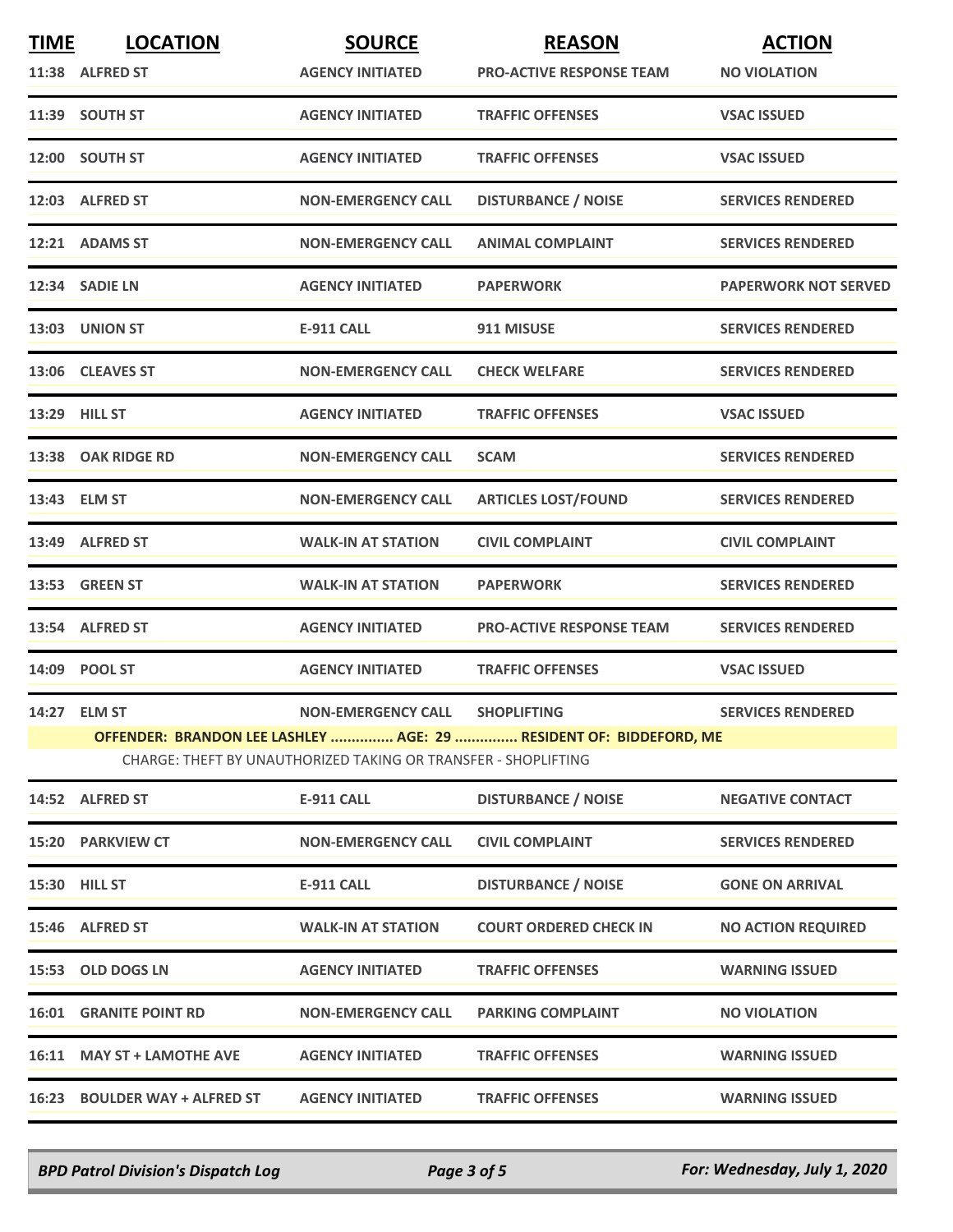| <b>TIME</b> | <b>LOCATION</b>               | <b>SOURCE</b>                                                  | <b>REASON</b>                                                      | <b>ACTION</b>               |
|-------------|-------------------------------|----------------------------------------------------------------|--------------------------------------------------------------------|-----------------------------|
|             | 11:38 ALFRED ST               | <b>AGENCY INITIATED</b>                                        | <b>PRO-ACTIVE RESPONSE TEAM</b>                                    | <b>NO VIOLATION</b>         |
|             | 11:39 SOUTH ST                | <b>AGENCY INITIATED</b>                                        | <b>TRAFFIC OFFENSES</b>                                            | <b>VSAC ISSUED</b>          |
|             | 12:00 SOUTH ST                | <b>AGENCY INITIATED</b>                                        | <b>TRAFFIC OFFENSES</b>                                            | <b>VSAC ISSUED</b>          |
|             | 12:03 ALFRED ST               | <b>NON-EMERGENCY CALL</b>                                      | <b>DISTURBANCE / NOISE</b>                                         | <b>SERVICES RENDERED</b>    |
|             | 12:21 ADAMS ST                | <b>NON-EMERGENCY CALL</b>                                      | <b>ANIMAL COMPLAINT</b>                                            | <b>SERVICES RENDERED</b>    |
|             | 12:34 SADIE LN                | <b>AGENCY INITIATED</b>                                        | <b>PAPERWORK</b>                                                   | <b>PAPERWORK NOT SERVED</b> |
|             | 13:03 UNION ST                | <b>E-911 CALL</b>                                              | 911 MISUSE                                                         | <b>SERVICES RENDERED</b>    |
|             | 13:06 CLEAVES ST              | <b>NON-EMERGENCY CALL</b>                                      | <b>CHECK WELFARE</b>                                               | <b>SERVICES RENDERED</b>    |
|             | 13:29 HILL ST                 | <b>AGENCY INITIATED</b>                                        | <b>TRAFFIC OFFENSES</b>                                            | <b>VSAC ISSUED</b>          |
|             | 13:38 OAK RIDGE RD            | <b>NON-EMERGENCY CALL</b>                                      | <b>SCAM</b>                                                        | <b>SERVICES RENDERED</b>    |
|             | 13:43 ELM ST                  | <b>NON-EMERGENCY CALL</b>                                      | <b>ARTICLES LOST/FOUND</b>                                         | <b>SERVICES RENDERED</b>    |
|             | 13:49 ALFRED ST               | <b>WALK-IN AT STATION</b>                                      | <b>CIVIL COMPLAINT</b>                                             | <b>CIVIL COMPLAINT</b>      |
|             | 13:53 GREEN ST                | <b>WALK-IN AT STATION</b>                                      | <b>PAPERWORK</b>                                                   | <b>SERVICES RENDERED</b>    |
|             | 13:54 ALFRED ST               | <b>AGENCY INITIATED</b>                                        | <b>PRO-ACTIVE RESPONSE TEAM</b>                                    | <b>SERVICES RENDERED</b>    |
|             | 14:09 POOL ST                 | <b>AGENCY INITIATED</b>                                        | <b>TRAFFIC OFFENSES</b>                                            | <b>VSAC ISSUED</b>          |
|             | 14:27 ELM ST                  | <b>NON-EMERGENCY CALL</b>                                      | <b>SHOPLIFTING</b>                                                 | <b>SERVICES RENDERED</b>    |
|             |                               | CHARGE: THEFT BY UNAUTHORIZED TAKING OR TRANSFER - SHOPLIFTING | OFFENDER: BRANDON LEE LASHLEY  AGE: 29  RESIDENT OF: BIDDEFORD, ME |                             |
|             | 14:52 ALFRED ST               | <b>E-911 CALL</b>                                              | <b>DISTURBANCE / NOISE</b>                                         | <b>NEGATIVE CONTACT</b>     |
|             | 15:20 PARKVIEW CT             | <b>NON-EMERGENCY CALL</b>                                      | <b>CIVIL COMPLAINT</b>                                             | <b>SERVICES RENDERED</b>    |
|             | 15:30 HILL ST                 | <b>E-911 CALL</b>                                              | <b>DISTURBANCE / NOISE</b>                                         | <b>GONE ON ARRIVAL</b>      |
|             | 15:46 ALFRED ST               | <b>WALK-IN AT STATION</b>                                      | <b>COURT ORDERED CHECK IN</b>                                      | <b>NO ACTION REQUIRED</b>   |
|             | 15:53 OLD DOGS LN             | <b>AGENCY INITIATED</b>                                        | <b>TRAFFIC OFFENSES</b>                                            | <b>WARNING ISSUED</b>       |
|             | <b>16:01 GRANITE POINT RD</b> | <b>NON-EMERGENCY CALL</b>                                      | <b>PARKING COMPLAINT</b>                                           | <b>NO VIOLATION</b>         |
|             | 16:11 MAY ST + LAMOTHE AVE    | <b>AGENCY INITIATED</b>                                        | <b>TRAFFIC OFFENSES</b>                                            | <b>WARNING ISSUED</b>       |
|             | 16:23 BOULDER WAY + ALFRED ST | <b>AGENCY INITIATED</b>                                        | <b>TRAFFIC OFFENSES</b>                                            | <b>WARNING ISSUED</b>       |

*BPD Patrol Division's Dispatch Log Page 3 of 5 For: Wednesday, July 1, 2020*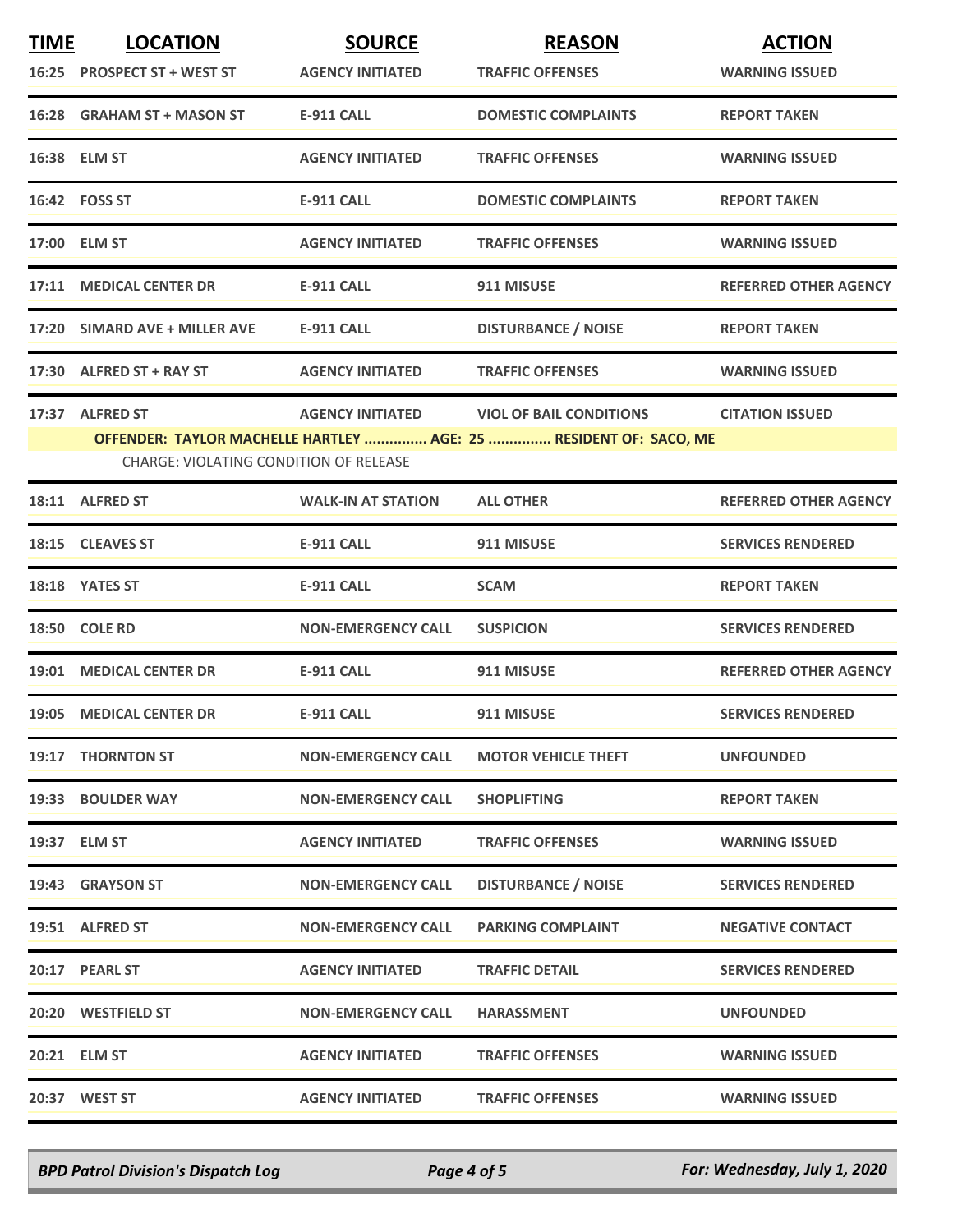| <b>TIME</b> | <b>LOCATION</b>                        | <b>SOURCE</b>             | <b>REASON</b>                                                     | <b>ACTION</b>                |
|-------------|----------------------------------------|---------------------------|-------------------------------------------------------------------|------------------------------|
|             | 16:25 PROSPECT ST + WEST ST            | <b>AGENCY INITIATED</b>   | <b>TRAFFIC OFFENSES</b>                                           | <b>WARNING ISSUED</b>        |
|             | 16:28 GRAHAM ST + MASON ST             | <b>E-911 CALL</b>         | <b>DOMESTIC COMPLAINTS</b>                                        | <b>REPORT TAKEN</b>          |
|             | 16:38 ELM ST                           | <b>AGENCY INITIATED</b>   | <b>TRAFFIC OFFENSES</b>                                           | <b>WARNING ISSUED</b>        |
|             | 16:42 FOSS ST                          | E-911 CALL                | <b>DOMESTIC COMPLAINTS</b>                                        | <b>REPORT TAKEN</b>          |
|             | 17:00 ELM ST                           | <b>AGENCY INITIATED</b>   | <b>TRAFFIC OFFENSES</b>                                           | <b>WARNING ISSUED</b>        |
|             | 17:11 MEDICAL CENTER DR                | <b>E-911 CALL</b>         | 911 MISUSE                                                        | <b>REFERRED OTHER AGENCY</b> |
|             | 17:20 SIMARD AVE + MILLER AVE          | <b>E-911 CALL</b>         | <b>DISTURBANCE / NOISE</b>                                        | <b>REPORT TAKEN</b>          |
|             | 17:30 ALFRED ST + RAY ST               | <b>AGENCY INITIATED</b>   | <b>TRAFFIC OFFENSES</b>                                           | <b>WARNING ISSUED</b>        |
|             | 17:37 ALFRED ST                        | <b>AGENCY INITIATED</b>   | <b>VIOL OF BAIL CONDITIONS</b>                                    | <b>CITATION ISSUED</b>       |
|             |                                        |                           | OFFENDER: TAYLOR MACHELLE HARTLEY  AGE: 25  RESIDENT OF: SACO, ME |                              |
|             | CHARGE: VIOLATING CONDITION OF RELEASE |                           |                                                                   |                              |
|             | 18:11 ALFRED ST                        | <b>WALK-IN AT STATION</b> | <b>ALL OTHER</b>                                                  | <b>REFERRED OTHER AGENCY</b> |
|             | 18:15 CLEAVES ST                       | <b>E-911 CALL</b>         | 911 MISUSE                                                        | <b>SERVICES RENDERED</b>     |
|             | 18:18 YATES ST                         | <b>E-911 CALL</b>         | <b>SCAM</b>                                                       | <b>REPORT TAKEN</b>          |
|             | 18:50 COLE RD                          | <b>NON-EMERGENCY CALL</b> | <b>SUSPICION</b>                                                  | <b>SERVICES RENDERED</b>     |
|             | 19:01 MEDICAL CENTER DR                | <b>E-911 CALL</b>         | 911 MISUSE                                                        | <b>REFERRED OTHER AGENCY</b> |
|             | 19:05 MEDICAL CENTER DR                | <b>E-911 CALL</b>         | 911 MISUSE                                                        | <b>SERVICES RENDERED</b>     |
|             | 19:17 THORNTON ST                      | <b>NON-EMERGENCY CALL</b> | <b>MOTOR VEHICLE THEFT</b>                                        | <b>UNFOUNDED</b>             |
|             | 19:33 BOULDER WAY                      | <b>NON-EMERGENCY CALL</b> | <b>SHOPLIFTING</b>                                                | <b>REPORT TAKEN</b>          |
|             | 19:37 ELM ST                           | <b>AGENCY INITIATED</b>   | <b>TRAFFIC OFFENSES</b>                                           | <b>WARNING ISSUED</b>        |
|             | 19:43 GRAYSON ST                       | <b>NON-EMERGENCY CALL</b> | <b>DISTURBANCE / NOISE</b>                                        | <b>SERVICES RENDERED</b>     |
|             | 19:51 ALFRED ST                        | <b>NON-EMERGENCY CALL</b> | <b>PARKING COMPLAINT</b>                                          | <b>NEGATIVE CONTACT</b>      |
|             | 20:17 PEARL ST                         | <b>AGENCY INITIATED</b>   | <b>TRAFFIC DETAIL</b>                                             | <b>SERVICES RENDERED</b>     |
|             | 20:20 WESTFIELD ST                     | <b>NON-EMERGENCY CALL</b> | <b>HARASSMENT</b>                                                 | <b>UNFOUNDED</b>             |
|             | 20:21 ELM ST                           | <b>AGENCY INITIATED</b>   | <b>TRAFFIC OFFENSES</b>                                           | <b>WARNING ISSUED</b>        |
|             | 20:37 WEST ST                          | <b>AGENCY INITIATED</b>   | <b>TRAFFIC OFFENSES</b>                                           | <b>WARNING ISSUED</b>        |

*BPD Patrol Division's Dispatch Log Page 4 of 5 For: Wednesday, July 1, 2020*